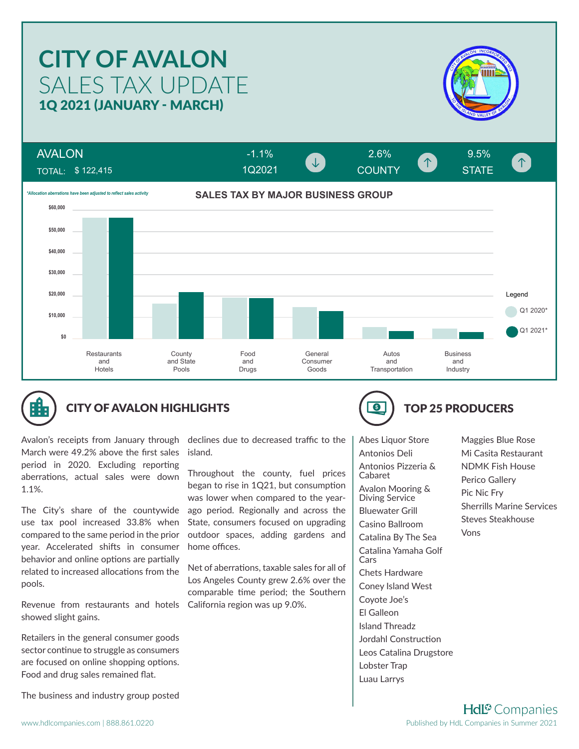### **CITY OF AVALON** SALES TAX UPDATE 1Q 2021 (JANUARY - MARCH) AVALON -1.1% 2.6% 9.5% COUNTY **COUNTY** STATE 个 1Q2021TOTAL: \$ 122,415 **SALES TAX BY MAJOR BUSINESS GROUP** *\*Allocation aberrations have been adjusted to reflect sales activity* **\$60,000 \$50,000 \$40,000 \$30,000 \$20,000** Legend Q1 2020\* **\$10,000** Q1 2021\* **\$0 Restaurants County** Food **General** Autos **Business** and State Consumer and and and and Hotels Goods **Transportation** Industry Pools **Drugs**



# CITY OF AVALON HIGHLIGHTS **TOP 25 PRODUCERS**

Avalon's receipts from January through March were 49.2% above the first sales period in 2020. Excluding reporting aberrations, actual sales were down 1.1%.

The City's share of the countywide use tax pool increased 33.8% when compared to the same period in the prior year. Accelerated shifts in consumer behavior and online options are partially related to increased allocations from the pools.

Revenue from restaurants and hotels California region was up 9.0%. showed slight gains.

Retailers in the general consumer goods sector continue to struggle as consumers are focused on online shopping options. Food and drug sales remained flat.

The business and industry group posted

declines due to decreased traffic to the island.

Throughout the county, fuel prices began to rise in 1Q21, but consumption was lower when compared to the yearago period. Regionally and across the State, consumers focused on upgrading outdoor spaces, adding gardens and home offices.

Net of aberrations, taxable sales for all of Los Angeles County grew 2.6% over the comparable time period; the Southern



Abes Liquor Store Antonios Deli Antonios Pizzeria & Cabaret Avalon Mooring & Diving Service Bluewater Grill Casino Ballroom Catalina By The Sea Catalina Yamaha Golf Cars Chets Hardware Coney Island West Coyote Joe's El Galleon Island Threadz Jordahl Construction Leos Catalina Drugstore Lobster Trap Luau Larrys

Maggies Blue Rose Mi Casita Restaurant NDMK Fish House Perico Gallery Pic Nic Fry Sherrills Marine Services Steves Steakhouse Vons